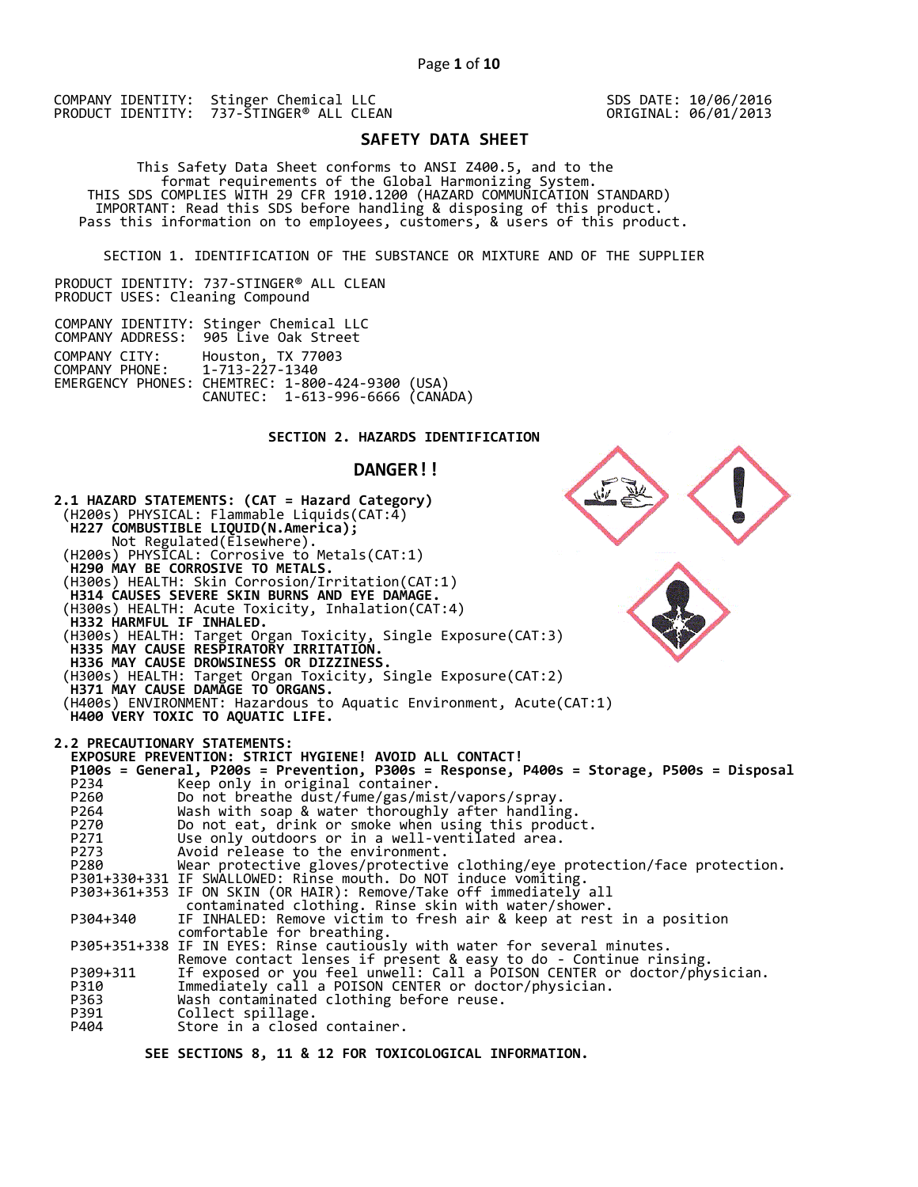SDS DATE: 10/06/2016 ORIGINAL: 06/01/2013

# **SAFETY DATA SHEET**

 This Safety Data Sheet conforms to ANSI Z400.5, and to the format requirements of the Global Harmonizing System. THIS SDS COMPLIES WITH 29 CFR 1910.1200 (HAZARD COMMUNICATION STANDARD) IMPORTANT: Read this SDS before handling & disposing of this product. Pass this information on to employees, customers, & users of this product.

SECTION 1. IDENTIFICATION OF THE SUBSTANCE OR MIXTURE AND OF THE SUPPLIER

PRODUCT IDENTITY: 737-STINGER® ALL CLEAN PRODUCT USES: Cleaning Compound

|                                                | COMPANY IDENTITY: Stinger Chemical LLC<br>COMPANY ADDRESS: 905 Live Oak Street                            |  |
|------------------------------------------------|-----------------------------------------------------------------------------------------------------------|--|
| COMPANY CITY:<br>COMPANY PHONE: 1-713-227-1340 | Houston, TX 77003<br>EMERGENCY PHONES: CHEMTREC: 1-800-424-9300 (USA)<br>CANUTEC: 1-613-996-6666 (CANADA) |  |

## **SECTION 2. HAZARDS IDENTIFICATION**

#### **DANGER!!**

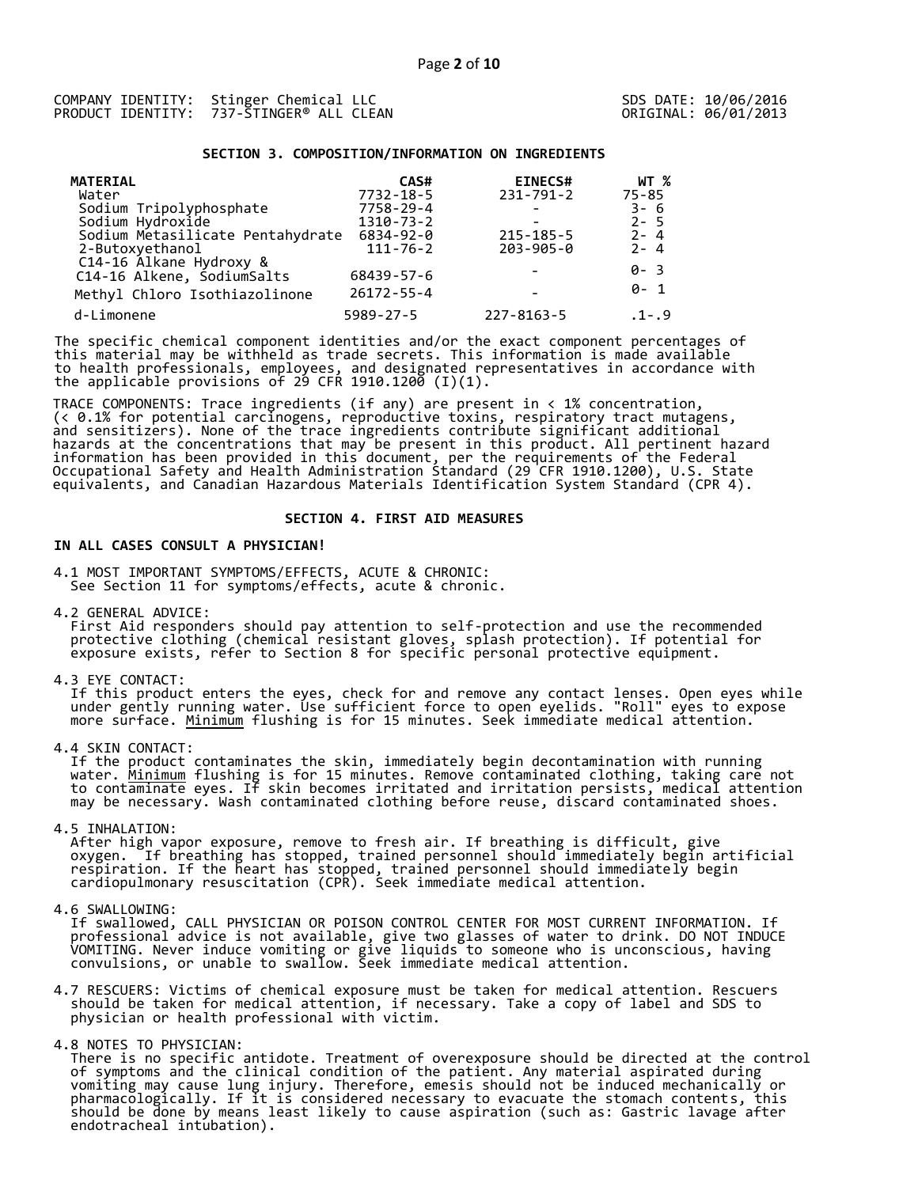#### **SECTION 3. COMPOSITION/INFORMATION ON INGREDIENTS**

| <b>MATERIAL</b> |                                             | CAS#             | <b>EINECS#</b>   | WT %      |
|-----------------|---------------------------------------------|------------------|------------------|-----------|
| Water           |                                             | $7732 - 18 - 5$  | $231 - 791 - 2$  | $75 - 85$ |
|                 | Sodium Tripolyphosphate<br>Sodium Hydroxide | 7758-29-4        |                  | 3-6       |
|                 |                                             | 1310-73-2        |                  | $2 - 5$   |
|                 | Sodium Metasilicate Pentahydrate            | 6834-92-0        | $215 - 185 - 5$  | $2 - 4$   |
| 2-Butoxyethanol |                                             | $111 - 76 - 2$   | $203 - 905 - 0$  | $2 - 4$   |
|                 | C14-16 Alkane Hydroxy &                     |                  |                  | 0-3       |
|                 | C14-16 Alkene, SodiumSalts                  | 68439-57-6       |                  |           |
|                 | Methyl Chloro Isothiazolinone               | $26172 - 55 - 4$ |                  | ด- 1      |
| d-Limonene      |                                             | $5989 - 27 - 5$  | $227 - 8163 - 5$ | $.1-.9$   |

The specific chemical component identities and/or the exact component percentages of this material may be withheld as trade secrets. This information is made available to health professionals, employees, and designated representatives in accordance with the applicable provisions of 29 CFR 1910.1200 (I)(1).  $\overline{ }$ 

TRACE COMPONENTS: Trace ingredients (if any) are present in < 1% concentration, (< 0.1% for potential carcinogens, reproductive toxins, respiratory tract mutagens, and sensitizers). None of the trace ingredients contribute significant additional hazards at the concentrations that may be present in this product. All pertinent hazard information has been provided in this document, per the requirements of the Federal Occupational Safety and Health Administration Standard (29 CFR 1910.1200), U.S. State equivalents, and Canadian Hazardous Materials Identification System Standard (CPR 4).

## **SECTION 4. FIRST AID MEASURES**

## **IN ALL CASES CONSULT A PHYSICIAN!**

4.1 MOST IMPORTANT SYMPTOMS/EFFECTS, ACUTE & CHRONIC: See Section 11 for symptoms/effects, acute & chronic.

4.2 GENERAL ADVICE:

 First Aid responders should pay attention to self-protection and use the recommended protective clothing (chemical resistant gloves, splash protection). If potential for exposure exists, refer to Section 8 for specific personal protective equipment.

4.3 EYE CONTACT:

 If this product enters the eyes, check for and remove any contact lenses. Open eyes while under gently running water. Use sufficient force to open eyelids. "Roll" eyes to expose more surface. <u>Minimum</u> flushing is for 15 minutes. Seek immediate medical attention.

4.4 SKIN CONTACT:

 If the product contaminates the skin, immediately begin decontamination with running water. <u>Minimum</u> flushing is for 15 minutes. Remove contaminated clothing, taking care not to contaminate eyes. If skin becomes irritated and irritation persists, medical attention may be necessary. Wash contaminated clothing before reuse, discard contaminated shoes.

4.5 INHALATION:

 After high vapor exposure, remove to fresh air. If breathing is difficult, give oxygen. If breathing has stopped, trained personnel should immediately begin artificial respiration. If the heart has stopped, trained personnel should immediately begin cardiopulmonary resuscitation (CPR). Seek immediate medical attention.

4.6 SWALLOWING:

 If swallowed, CALL PHYSICIAN OR POISON CONTROL CENTER FOR MOST CURRENT INFORMATION. If professional advice is not available, give two glasses of water to drink. DO NOT INDUCE VOMITING. Never induce vomiting or give liquids to someone who is unconscious, having convulsions, or unable to swallow. Seek immediate medical attention.

4.7 RESCUERS: Victims of chemical exposure must be taken for medical attention. Rescuers should be taken for medical attention, if necessary. Take a copy of label and SDS to physician or health professional with victim.

4.8 NOTES TO PHYSICIAN:

 There is no specific antidote. Treatment of overexposure should be directed at the control of symptoms and the clinical condition of the patient. Any material aspirated during vomiting may cause lung injury. Therefore, emesis should not be induced mechanically or pharmacologically. If it is considered necessary to evacuate the stomach contents, this should be done by means least likely to cause aspiration (such as: Gastric lavage after endotracheal intubation).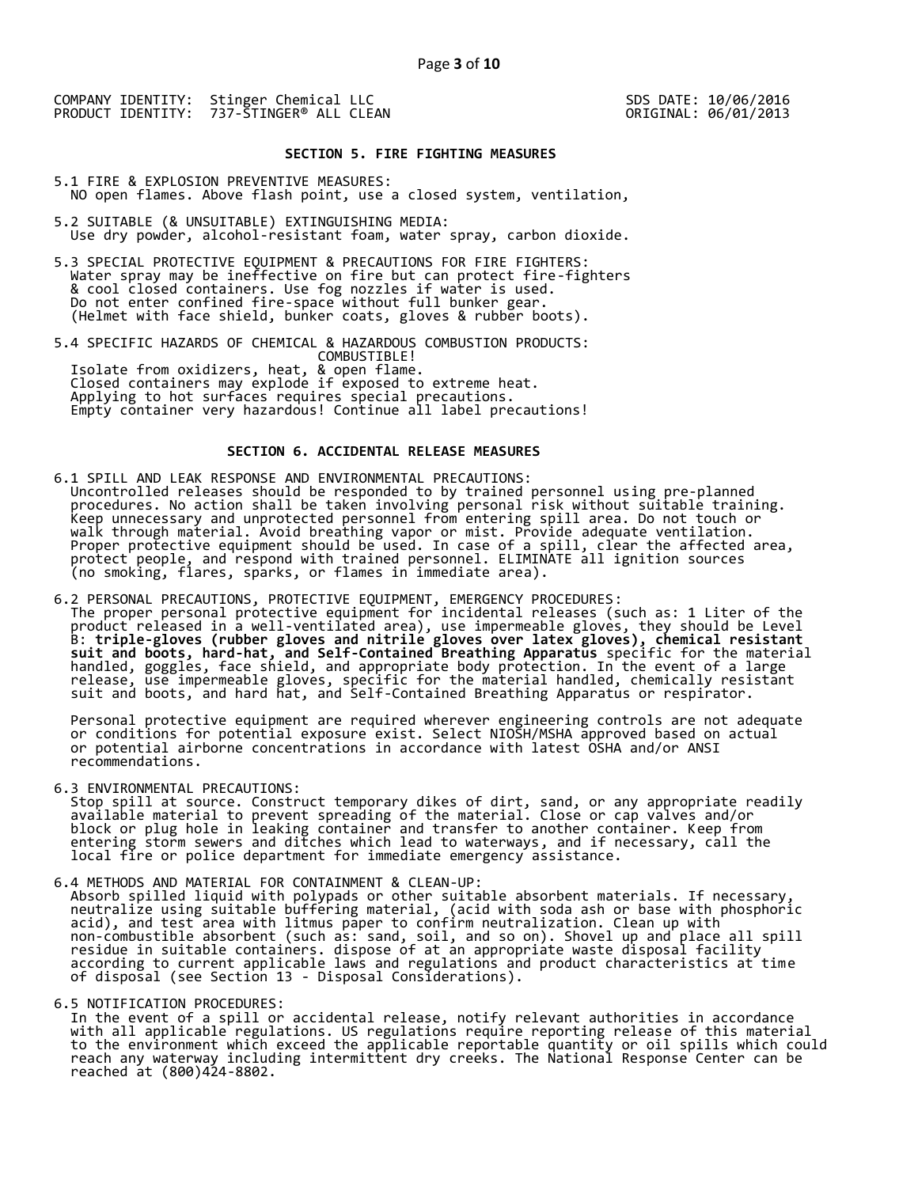## **SECTION 5. FIRE FIGHTING MEASURES**

5.1 FIRE & EXPLOSION PREVENTIVE MEASURES: NO open flames. Above flash point, use a closed system, ventilation,

- 5.2 SUITABLE (& UNSUITABLE) EXTINGUISHING MEDIA: Use dry powder, alcohol-resistant foam, water spray, carbon dioxide.
- 5.3 SPECIAL PROTECTIVE EQUIPMENT & PRECAUTIONS FOR FIRE FIGHTERS: Water spray may be ineffective on fire but can protect fire-fighters & cool closed containers. Use fog nozzles if water is used. Do not enter confined fire-space without full bunker gear. (Helmet with face shield, bunker coats, gloves & rubber boots).

5.4 SPECIFIC HAZARDS OF CHEMICAL & HAZARDOUS COMBUSTION PRODUCTS: COMBUSTIBLE! Isolate from oxidizers, heat, & open flame. Closed containers may explode if exposed to extreme heat. Applying to hot surfaces requires special precautions. Empty container very hazardous! Continue all label precautions!

### **SECTION 6. ACCIDENTAL RELEASE MEASURES**

- 6.1 SPILL AND LEAK RESPONSE AND ENVIRONMENTAL PRECAUTIONS: Uncontrolled releases should be responded to by trained personnel using pre-planned procedures. No action shall be taken involving personal risk without suitable training. Keep unnecessary and unprotected personnel from entering spill area. Do not touch or walk through material. Avoid breathing vapor or mist. Provide adequate ventilation. Proper protective equipment should be used. In case of a spill, clear the affected area, protect people, and respond with trained personnel. ELIMINATE all ignition sources (no smoking, flares, sparks, or flames in immediate area).
- 6.2 PERSONAL PRECAUTIONS, PROTECTIVE EQUIPMENT, EMERGENCY PROCEDURES: The proper personal protective equipment for incidental releases (such as: 1 Liter of the product released in a well-ventilated area), use impermeable gloves, they should be Level B: **triple-gloves (rubber gloves and nitrile gloves over latex gloves), chemical resistant suit and boots, hard-hat, and Self-Contained Breathing Apparatus** specific for the material handled, goggles, face shield, and appropriate body protection. In the event of a large release, use impermeable gloves, specific for the material handled, chemically resistant suit and boots, and hard hat, and Self-Contained Breathing Apparatus or respirator.

 Personal protective equipment are required wherever engineering controls are not adequate or conditions for potential exposure exist. Select NIOSH/MSHA approved based on actual or potential airborne concentrations in accordance with latest OSHA and/or ANSI recommendations.

6.3 ENVIRONMENTAL PRECAUTIONS:

 Stop spill at source. Construct temporary dikes of dirt, sand, or any appropriate readily available material to prevent spreading of the material. Close or cap valves and/or block or plug hole in leaking container and transfer to another container. Keep from entering storm sewers and ditches which lead to waterways, and if necessary, call the local fire or police department for immediate emergency assistance.

6.4 METHODS AND MATERIAL FOR CONTAINMENT & CLEAN-UP:

 Absorb spilled liquid with polypads or other suitable absorbent materials. If necessary, neutralize using suitable buffering material, (acid with soda ash or base with phosphoric acid), and test area with litmus paper to confirm neutralization. Clean up with non-combustible absorbent (such as: sand, soil, and so on). Shovel up and place all spill residue in suitable containers. dispose of at an appropriate waste disposal facility according to current applicable laws and regulations and product characteristics at time of disposal (see Section 13 - Disposal Considerations).

6.5 NOTIFICATION PROCEDURES:

 In the event of a spill or accidental release, notify relevant authorities in accordance with all applicable regulations. US regulations require reporting release of this material to the environment which exceed the applicable reportable quantity or oil spills which could reach any waterway including intermittent dry creeks. The National Response Center can be reached at (800)424-8802.

SDS DATE: 10/06/2016 ORIGINAL: 06/01/2013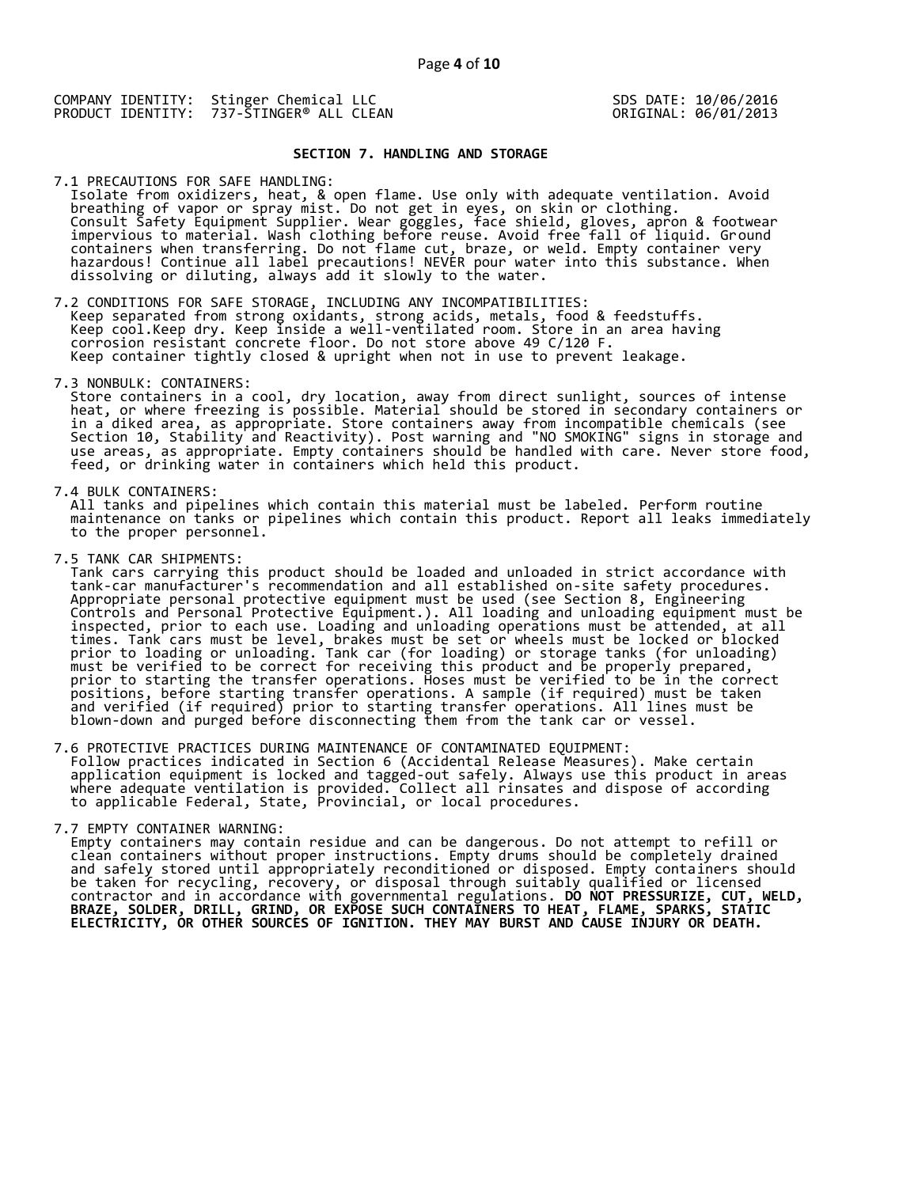SDS DATE: 10/06/2016 ORIGINAL: 06/01/2013

### **SECTION 7. HANDLING AND STORAGE**

7.1 PRECAUTIONS FOR SAFE HANDLING:

 Isolate from oxidizers, heat, & open flame. Use only with adequate ventilation. Avoid breathing of vapor or spray mist. Do not get in eyes, on skin or clothing. Consult Safety Equipment Supplier. Wear goggles, face shield, gloves, apron & footwear impervious to material. Wash clothing before reuse. Avoid free fall of liquid. Ground containers when transferring. Do not flame cut, braze, or weld. Empty container very hazardous! Continue all label precautions! NEVER pour water into this substance. When dissolving or diluting, always add it slowly to the water.

7.2 CONDITIONS FOR SAFE STORAGE, INCLUDING ANY INCOMPATIBILITIES: Keep separated from strong oxidants, strong acids, metals, food & feedstuffs. Keep cool.Keep dry. Keep inside a well-ventilated room. Store in an area having corrosion resistant concrete floor. Do not store above 49 C/120 F. Keep container tightly closed & upright when not in use to prevent leakage.

7.3 NONBULK: CONTAINERS:

 Store containers in a cool, dry location, away from direct sunlight, sources of intense heat, or where freezing is possible. Material should be stored in secondary containers or in a diked area, as appropriate. Store containers away from incompatible chemicals (see Section 10, Stability and Reactivity). Post warning and "NO SMOKING" signs in storage and use areas, as appropriate. Empty containers should be handled with care. Never store food, feed, or drinking water in containers which held this product.

7.4 BULK CONTAINERS:

 All tanks and pipelines which contain this material must be labeled. Perform routine maintenance on tanks or pipelines which contain this product. Report all leaks immediately to the proper personnel.

7.5 TANK CAR SHIPMENTS:

 Tank cars carrying this product should be loaded and unloaded in strict accordance with tank-car manufacturer's recommendation and all established on-site safety procedures. Appropriate personal protective equipment must be used (see Section 8, Engineering Controls and Personal Protective Equipment.). All loading and unloading equipment must be inspected, prior to each use. Loading and unloading operations must be attended, at all times. Tank cars must be level, brakes must be set or wheels must be locked or blocked prior to loading or unloading. Tank car (for loading) or storage tanks (for unloading) must be verified to be correct for receiving this product and be properly prepared, prior to starting the transfer operations. Hoses must be verified to be in the correct positions, before starting transfer operations. A sample (if required) must be taken and verified (if required) prior to starting transfer operations. All lines must be blown-down and purged before disconnecting them from the tank car or vessel.

7.6 PROTECTIVE PRACTICES DURING MAINTENANCE OF CONTAMINATED EQUIPMENT: Follow practices indicated in Section 6 (Accidental Release Measures). Make certain application equipment is locked and tagged-out safely. Always use this product in areas where adequate ventilation is provided. Collect all rinsates and dispose of according to applicable Federal, State, Provincial, or local procedures.

7.7 EMPTY CONTAINER WARNING:

 Empty containers may contain residue and can be dangerous. Do not attempt to refill or clean containers without proper instructions. Empty drums should be completely drained and safely stored until appropriately reconditioned or disposed. Empty containers should be taken for recycling, recovery, or disposal through suitably qualified or licensed contractor and in accordance with governmental regulations. **DO NOT PRESSURIZE, CUT, WELD, BRAZE, SOLDER, DRILL, GRIND, OR EXPOSE SUCH CONTAINERS TO HEAT, FLAME, SPARKS, STATIC ELECTRICITY, OR OTHER SOURCES OF IGNITION. THEY MAY BURST AND CAUSE INJURY OR DEATH.**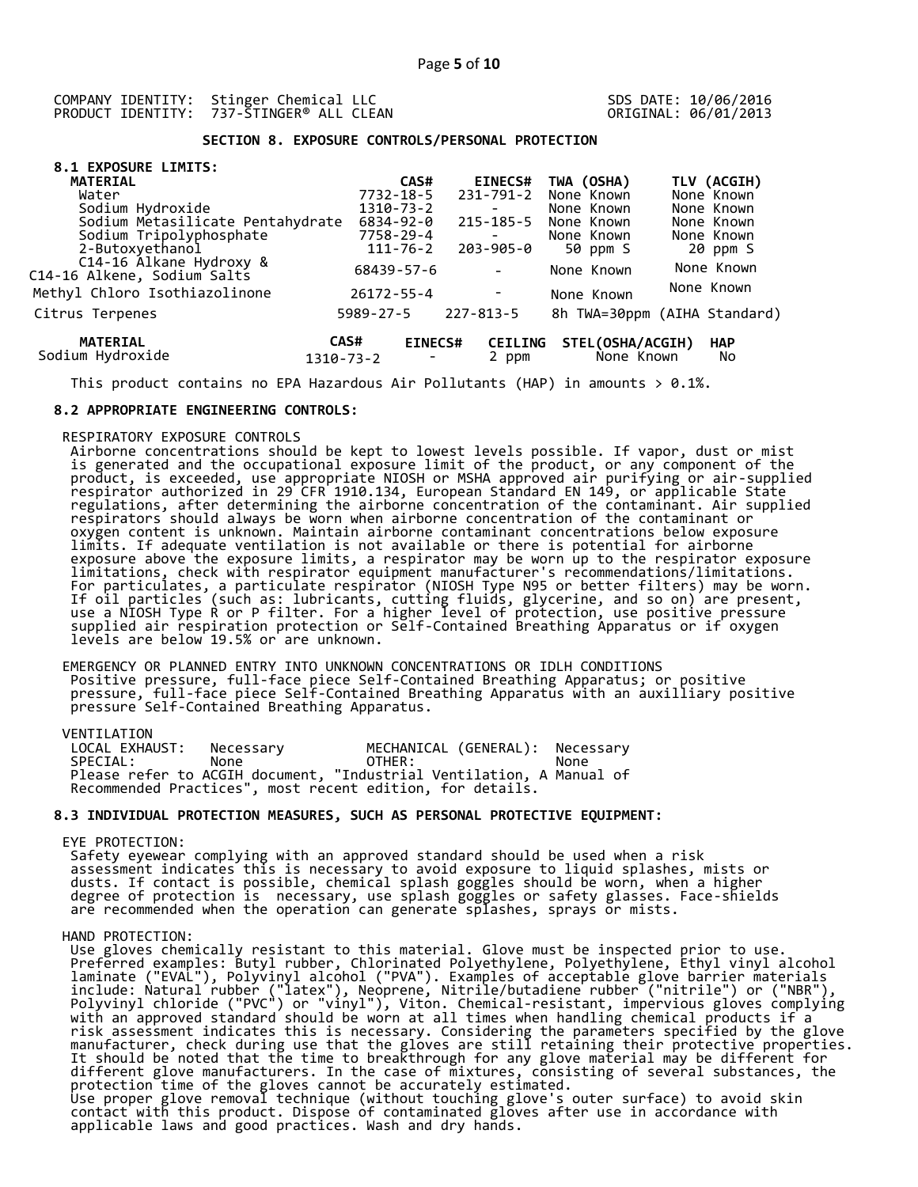SDS DATE: 10/06/2016 ORIGINAL: 06/01/2013

# **SECTION 8. EXPOSURE CONTROLS/PERSONAL PROTECTION**

| 8.1 EXPOSURE LIMITS:                                   |                   |                          |                          |            |                                |                              |
|--------------------------------------------------------|-------------------|--------------------------|--------------------------|------------|--------------------------------|------------------------------|
| <b>MATERIAL</b>                                        |                   | CAS#                     | <b>EINECS#</b>           | TWA (OSHA) |                                | TLV (ACGIH)                  |
| Water                                                  |                   | $7732 - 18 - 5$          | $231 - 791 - 2$          | None Known |                                | None Known                   |
| Sodium Hydroxide                                       |                   | 1310-73-2                | $\overline{\phantom{a}}$ | None Known |                                | None Known                   |
| Sodium Metasilicate Pentahydrate                       |                   | 6834-92-0                | 215-185-5                | None Known |                                | None Known                   |
| Sodium Tripolyphosphate                                |                   | 7758-29-4                | $\overline{\phantom{0}}$ | None Known |                                | None Known                   |
| 2-Butoxyethanol                                        |                   | $111 - 76 - 2$           | 203-905-0                |            | 50 ppm S                       | 20 ppm S                     |
| C14-16 Álkane Hydroxy &<br>C14-16 Alkene, Sodium Salts | 68439-57-6        |                          | $\overline{\phantom{a}}$ |            | None Known                     | None Known                   |
| Methyl Chloro Isothiazolinone                          | $26172 - 55 - 4$  |                          |                          |            | None Known                     | None Known                   |
| Citrus Terpenes                                        | $5989 - 27 - 5$   |                          | $227 - 813 - 5$          |            |                                | 8h TWA=30ppm (AIHA Standard) |
| <b>MATERIAL</b><br>Sodium Hydroxide                    | CAS#<br>1310-73-2 | <b>EINECS#</b><br>$\sim$ | <b>CEILING</b><br>2 ppm  |            | STEL(OSHA/ACGIH)<br>None Known | <b>HAP</b><br>No             |

This product contains no EPA Hazardous Air Pollutants (HAP) in amounts  $> 0.1\%$ .

#### **8.2 APPROPRIATE ENGINEERING CONTROLS:**

## RESPIRATORY EXPOSURE CONTROLS

 Airborne concentrations should be kept to lowest levels possible. If vapor, dust or mist is generated and the occupational exposure limit of the product, or any component of the product, is exceeded, use appropriate NIOSH or MSHA approved air purifying or air-supplied respirator authorized in 29 CFR 1910.134, European Standard EN 149, or applicable State regulations, after determining the airborne concentration of the contaminant. Air supplied respirators should always be worn when airborne concentration of the contaminant or oxygen content is unknown. Maintain airborne contaminant concentrations below exposure limits. If adequate ventilation is not available or there is potential for airborne exposure above the exposure limits, a respirator may be worn up to the respirator exposure limitations, check with respirator equipment manufacturer's recommendations/limitations. For particulates, a particulate respirator (NIOSH Type N95 or better filters) may be worn. If oil particles (such as: lubricants, cutting fluids, glycerine, and so on) are present, use a NIOSH Type R or P filter. For a higher level of protection, use positive pressure supplied air respiration protection or Self-Contained Breathing Apparatus or if oxygen levels are below 19.5% or are unknown.

 EMERGENCY OR PLANNED ENTRY INTO UNKNOWN CONCENTRATIONS OR IDLH CONDITIONS Positive pressure, full-face piece Self-Contained Breathing Apparatus; or positive pressure, full-face piece Self-Contained Breathing Apparatus with an auxilliary positive pressure Self-Contained Breathing Apparatus.

VENTILATION<br>LOCAL EXHAUST: Necessary MECHANICAL (GENERAL): Necessary SPECIAL: None OTHER: None Please refer to ACGIH document, "Industrial Ventilation, A Manual of Recommended Practices", most recent edition, for details.

## **8.3 INDIVIDUAL PROTECTION MEASURES, SUCH AS PERSONAL PROTECTIVE EQUIPMENT:**

#### EYE PROTECTION:

 Safety eyewear complying with an approved standard should be used when a risk assessment indicates this is necessary to avoid exposure to liquid splashes, mists or dusts. If contact is possible, chemical splash goggles should be worn, when a higher degree of protection is necessary, use splash goggles or safety glasses. Face-shields are recommended when the operation can generate splashes, sprays or mists.

## HAND PROTECTION:

 Use gloves chemically resistant to this material. Glove must be inspected prior to use. Preferred examples: Butyl rubber, Chlorinated Polyethylene, Polyethylene, Ethyl vinyl alcohol laminate ("EVAL"), Polyvinyl alcohol ("PVA"). Examples of acceptable glove barrier materials include: Natural rubber ("latex"), Neoprene, Nitrile/butadiene rubber ("nitrile") or ("NBR"), Polyvinyl chloride ("PVC") or "vinyl"), Viton. Chemical-resistant, impervious gloves complying with an approved standard should be worn at all times when handling chemical products if a risk assessment indicates this is necessary. Considering the parameters specified by the glove manufacturer, check during use that the gloves are still retaining their protective properties. It should be noted that the time to breakthrough for any glove material may be different for different glove manufacturers. In the case of mixtures, consisting of several substances, the protection time of the gloves cannot be accurately estimated. Use proper glove removal technique (without touching glove's outer surface) to avoid skin contact with this product. Dispose of contaminated gloves after use in accordance with applicable laws and good practices. Wash and dry hands.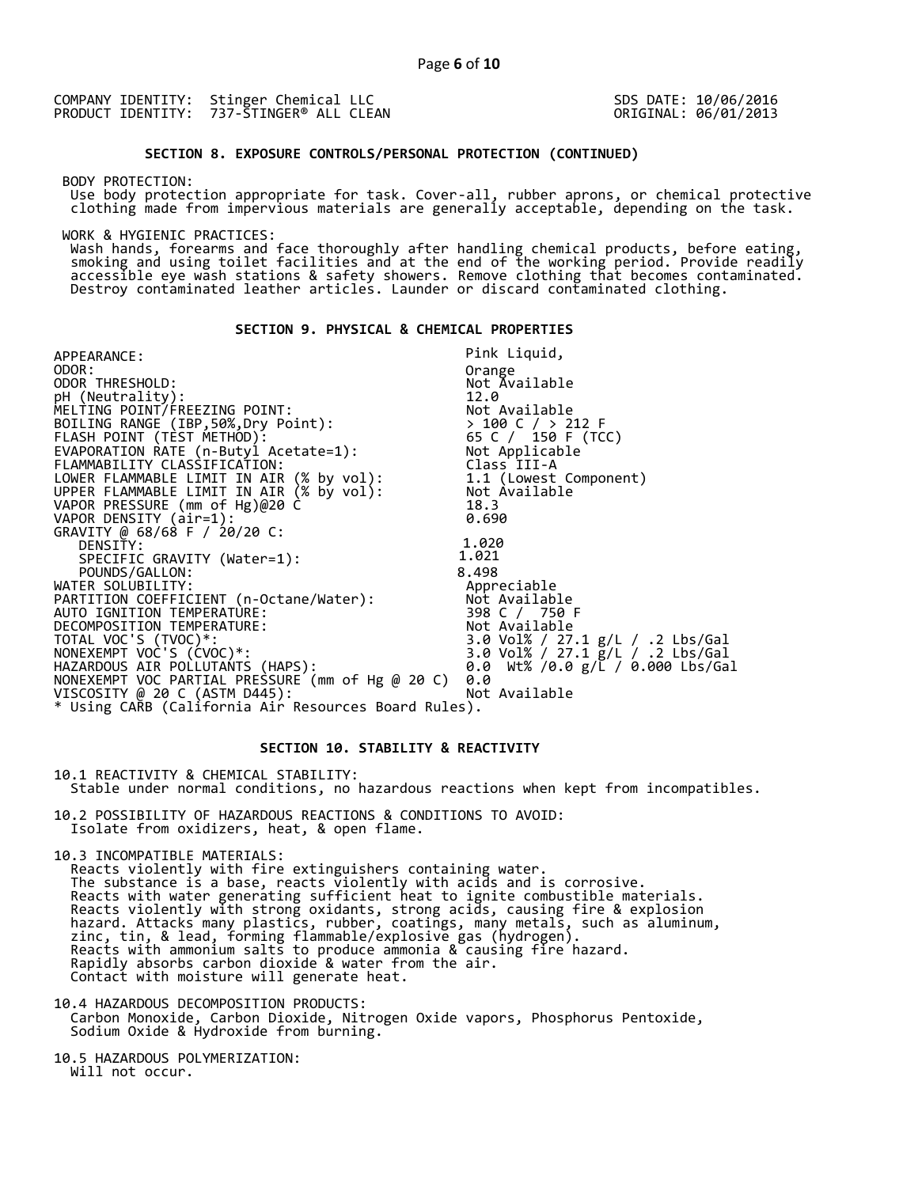SDS DATE: 10/06/2016 ORIGINAL: 06/01/2013

## **SECTION 8. EXPOSURE CONTROLS/PERSONAL PROTECTION (CONTINUED)**

BODY PROTECTION:

 Use body protection appropriate for task. Cover-all, rubber aprons, or chemical protective clothing made from impervious materials are generally acceptable, depending on the task.

WORK & HYGIENIC PRACTICES:

 Wash hands, forearms and face thoroughly after handling chemical products, before eating, smoking and using toilet facilities and at the end of the working period. Provide readily accessible eye wash stations & safety showers. Remove clothing that becomes contaminated. Destroy contaminated leather articles. Launder or discard contaminated clothing.

## **SECTION 9. PHYSICAL & CHEMICAL PROPERTIES**

| APPEARANCE:                                                         | Pink Liquid,                                                                                |
|---------------------------------------------------------------------|---------------------------------------------------------------------------------------------|
| ODOR:                                                               | Orange                                                                                      |
| ODOR THRESHOLD:                                                     | Not Available                                                                               |
|                                                                     | 12.0                                                                                        |
| pH (Neutrality):<br>MELTING POINT/FREEZING POINT:                   |                                                                                             |
| BOILING RANGE (IBP,50%,Dry Point):                                  |                                                                                             |
|                                                                     |                                                                                             |
| FLASH POINT (TÈST METHOD):<br>EVAPORATION RATE (n-Butyl Acetate=1): | Not Available<br>> 100 C / > 212 F<br>65 C / 150 F (TCC)<br>Not Applicable<br>Cl-Applicable |
| FLAMMABILITY CLASSIFICATION:                                        | Class III-A                                                                                 |
| LOWER FLAMMABLE LIMIT IN AIR (% by vol): 1.1 (Lowest Component)     |                                                                                             |
| UPPER FLAMMABLE LIMIT IN AIR (% by vol):           Not Available    |                                                                                             |
| VAPOR PRESSURE (mm of Hg)@20 C̀                                     | 18.3                                                                                        |
| VAPOR DENSITY (air=1):                                              | 0.690                                                                                       |
| GRAVITY @ 68/68 F / 20/20 C:                                        |                                                                                             |
| DENSITY:                                                            | 1.020                                                                                       |
| SPECIFIC GRAVITY (Water=1):                                         | 1.021                                                                                       |
| POUNDS/GALLON:                                                      | 8.498                                                                                       |
| WATER SOLUBILITY:                                                   | Appreciable                                                                                 |
| PARTITION COEFFICIENT (n-Octane/Water):           Not Available     |                                                                                             |
| AUTO IGNITION TEMPERATURE:                                          | 398 C / 750 F                                                                               |
| DECOMPOSITION TEMPERATURE:                                          | Not Available                                                                               |
| TOTAL VOC'S (TVOC)*:                                                | 3.0 Vol% / 27.1 g/L / .2 Lbs/Gal                                                            |
| NONEXEMPT VOC'S (ĆVOC)*:                                            | 3.0 Vol% / 27.1 g/L / .2 Lbs/Gal                                                            |
| HAZARDOUS AIR POLLUTAŃTS (HAPS):                                    | 0.0 Wt% /0.0 $g/L$ / 0.000 Lbs/Gal                                                          |
| NONEXEMPT VOC PARTIAL PRESSURE (mm of Hg @ 20 C)                    | 0.0                                                                                         |
| VISCOSITY @ 20 C (ASTM D445):                                       | Not Available                                                                               |
| * Using CAŘB (Calífornia Aiŕ Resources Board Rules).                |                                                                                             |

## **SECTION 10. STABILITY & REACTIVITY**

10.1 REACTIVITY & CHEMICAL STABILITY: Stable under normal conditions, no hazardous reactions when kept from incompatibles.

10.2 POSSIBILITY OF HAZARDOUS REACTIONS & CONDITIONS TO AVOID:

Isolate from oxidizers, heat, & open flame.

10.3 INCOMPATIBLE MATERIALS:

 Reacts violently with fire extinguishers containing water. The substance is a base, reacts violently with acids and is corrosive. Reacts with water generating sufficient heat to ignite combustible materials. Reacts violently with strong oxidants, strong acids, causing fire & explosion hazard. Attacks many plastics, rubber, coatings, many metals, such as aluminum, zinc, tin, & lead, forming flammable/explosive gas (hydrogen). Reacts with ammonium salts to produce ammonia & causing fire hazard. Rapidly absorbs carbon dioxide & water from the air. Contact with moisture will generate heat.

10.4 HAZARDOUS DECOMPOSITION PRODUCTS: Carbon Monoxide, Carbon Dioxide, Nitrogen Oxide vapors, Phosphorus Pentoxide, Sodium Oxide & Hydroxide from burning.

10.5 HAZARDOUS POLYMERIZATION: Will not occur.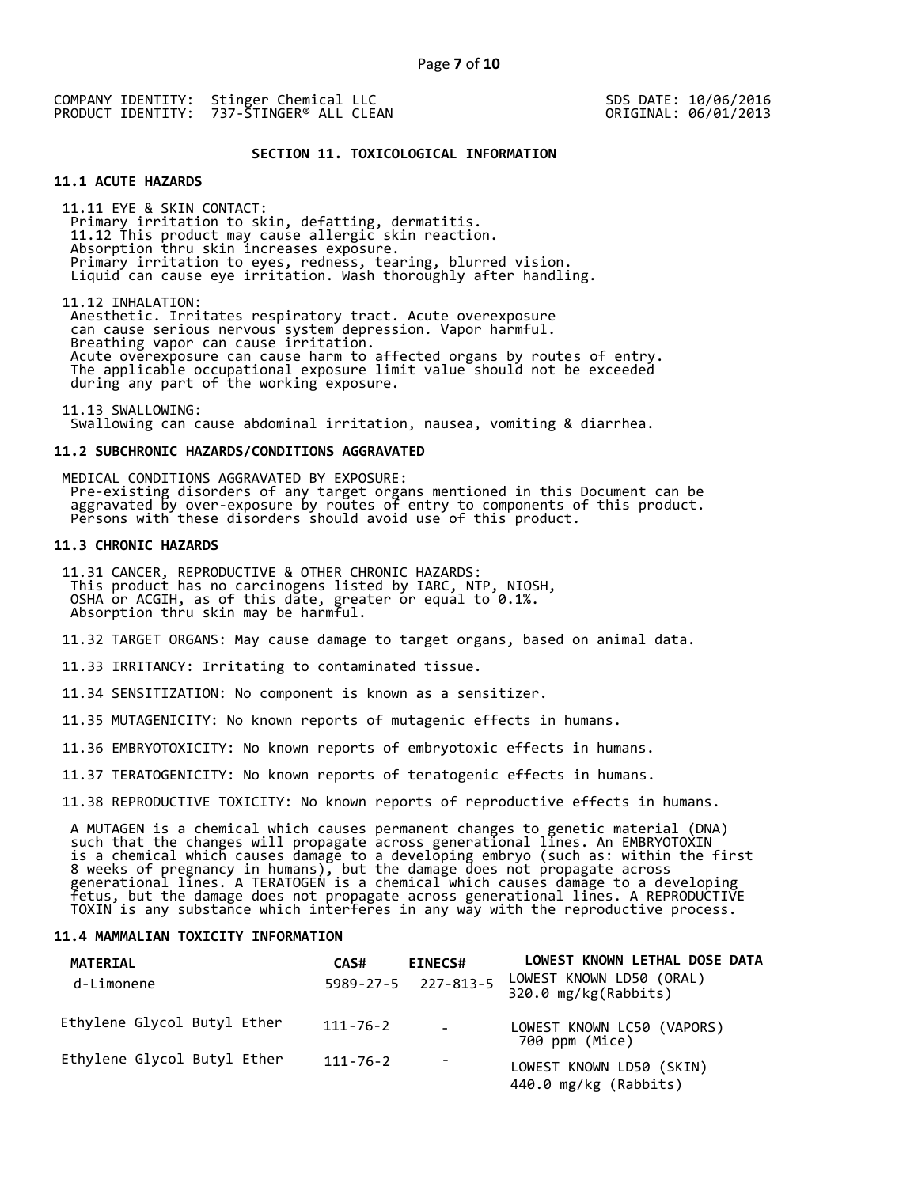SDS DATE: 10/06/2016 ORIGINAL: 06/01/2013

### **SECTION 11. TOXICOLOGICAL INFORMATION**

## **11.1 ACUTE HAZARDS**

 11.11 EYE & SKIN CONTACT: Primary irritation to skin, defatting, dermatitis. 11.12 This product may cause allergic skin reaction. Absorption thru skin increases exposure. Primary irritation to eyes, redness, tearing, blurred vision. Liquid can cause eye irritation. Wash thoroughly after handling.

 11.12 INHALATION: Anesthetic. Irritates respiratory tract. Acute overexposure can cause serious nervous system depression. Vapor harmful. Breathing vapor can cause irritation. Acute overexposure can cause harm to affected organs by routes of entry. The applicable occupational exposure limit value should not be exceeded during any part of the working exposure.

 11.13 SWALLOWING: Swallowing can cause abdominal irritation, nausea, vomiting & diarrhea.

#### **11.2 SUBCHRONIC HAZARDS/CONDITIONS AGGRAVATED**

 MEDICAL CONDITIONS AGGRAVATED BY EXPOSURE: Pre-existing disorders of any target organs mentioned in this Document can be aggravated by over-exposure by routes of entry to components of this product. Persons with these disorders should avoid use of this product.

## **11.3 CHRONIC HAZARDS**

 11.31 CANCER, REPRODUCTIVE & OTHER CHRONIC HAZARDS: This product has no carcinogens listed by IARC, NTP, NIOSH, OSHA or ACGIH, as of this date, greater or equal to 0.1%. Absorption thru skin may be harmful.

11.32 TARGET ORGANS: May cause damage to target organs, based on animal data.

11.33 IRRITANCY: Irritating to contaminated tissue.

11.34 SENSITIZATION: No component is known as a sensitizer.

11.35 MUTAGENICITY: No known reports of mutagenic effects in humans.

11.36 EMBRYOTOXICITY: No known reports of embryotoxic effects in humans.

11.37 TERATOGENICITY: No known reports of teratogenic effects in humans.

11.38 REPRODUCTIVE TOXICITY: No known reports of reproductive effects in humans.

 A MUTAGEN is a chemical which causes permanent changes to genetic material (DNA) such that the changes will propagate across generational lines. An EMBRYOTOXIN is a chemical which causes damage to a developing embryo (such as: within the first 8 weeks of pregnancy in humans), but the damage does not propagate across generational lines. A TERATOGEN is a chemical which causes damage to a developing fetus, but the damage does not propagate across generational lines. A REPRODUCTIVE TOXIN is any substance which interferes in any way with the reproductive process.

#### **11.4 MAMMALIAN TOXICITY INFORMATION**

| <b>MATERIAL</b><br>d-Limonene | CAS#           | <b>EINECS#</b><br>5989-27-5 227-813-5 | LOWEST KNOWN LETHAL DOSE DATA<br>LOWEST KNOWN LD50 (ORAL)<br>320.0 mg/kg(Rabbits) |
|-------------------------------|----------------|---------------------------------------|-----------------------------------------------------------------------------------|
| Ethylene Glycol Butyl Ether   | $111 - 76 - 2$ | $\overline{\phantom{0}}$              | LOWEST KNOWN LC50 (VAPORS)<br>700 ppm (Mice)                                      |
| Ethylene Glycol Butyl Ether   | $111 - 76 - 2$ |                                       | LOWEST KNOWN LD50 (SKIN)<br>440.0 mg/kg (Rabbits)                                 |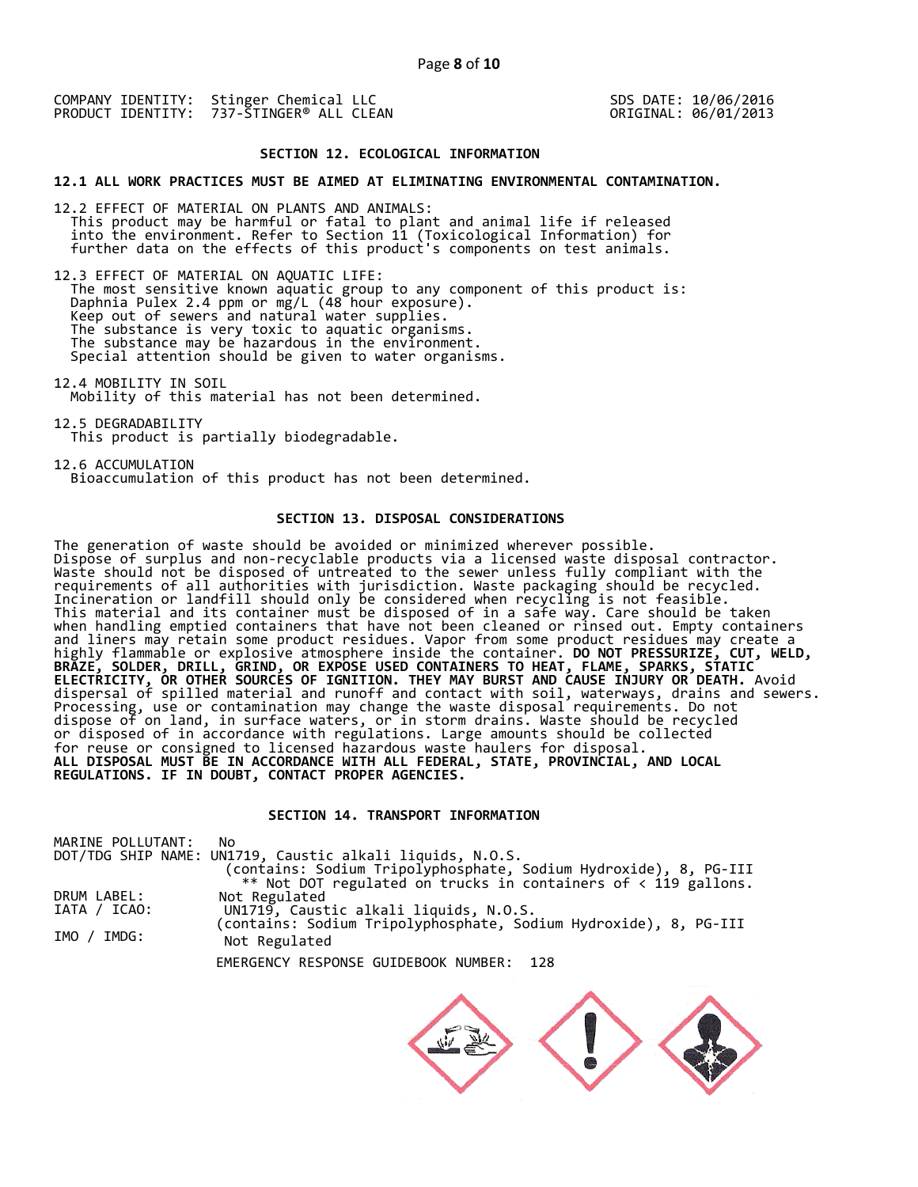SDS DATE: 10/06/2016 ORIGINAL: 06/01/2013

#### **SECTION 12. ECOLOGICAL INFORMATION**

#### **12.1 ALL WORK PRACTICES MUST BE AIMED AT ELIMINATING ENVIRONMENTAL CONTAMINATION.**

12.2 EFFECT OF MATERIAL ON PLANTS AND ANIMALS: This product may be harmful or fatal to plant and animal life if released into the environment. Refer to Section 11 (Toxicological Information) for further data on the effects of this product's components on test animals.

12.3 EFFECT OF MATERIAL ON AQUATIC LIFE: The most sensitive known aquatic group to any component of this product is: Daphnia Pulex 2.4 ppm or mg/L (48 hour exposure). Keep out of sewers and natural water supplies. The substance is very toxic to aquatic organisms. The substance may be hazardous in the environment. Special attention should be given to water organisms.

12.4 MOBILITY IN SOIL Mobility of this material has not been determined.

12.5 DEGRADABILITY This product is partially biodegradable.

12.6 ACCUMULATION Bioaccumulation of this product has not been determined.

## **SECTION 13. DISPOSAL CONSIDERATIONS**

The generation of waste should be avoided or minimized wherever possible. Dispose of surplus and non-recyclable products via a licensed waste disposal contractor. Waste should not be disposed of untreated to the sewer unless fully compliant with the requirements of all authorities with jurisdiction. Waste packaging should be recycled. Incineration or landfill should only be considered when recycling is not feasible. This material and its container must be disposed of in a safe way. Care should be taken when handling emptied containers that have not been cleaned or rinsed out. Empty containers and liners may retain some product residues. Vapor from some product residues may create a highly flammable or explosive atmosphere inside the container. **DO NOT PRESSURIZE, CUT, WELD, BRAZE, SOLDER, DRILL, GRIND, OR EXPOSE USED CONTAINERS TO HEAT, FLAME, SPARKS, STATIC ELECTRICITY, OR OTHER SOURCES OF IGNITION. THEY MAY BURST AND CAUSE INJURY OR DEATH.** Avoid dispersal of spilled material and runoff and contact with soil, waterways, drains and sewers. Processing, use or contamination may change the waste disposal requirements. Do not dispose of on land, in surface waters, or in storm drains. Waste should be recycled or disposed of in accordance with regulations. Large amounts should be collected for reuse or consigned to licensed hazardous waste haulers for disposal. **ALL DISPOSAL MUST BE IN ACCORDANCE WITH ALL FEDERAL, STATE, PROVINCIAL, AND LOCAL REGULATIONS. IF IN DOUBT, CONTACT PROPER AGENCIES.** 

## **SECTION 14. TRANSPORT INFORMATION**

| MARINE POLLUTANT:<br>No.                                         |  |
|------------------------------------------------------------------|--|
| DOT/TDG SHIP NAME: UN1719, Caustic alkali liquids, N.O.S.        |  |
| (contains: Sodium Tripolyphosphate, Sodium Hydroxide), 8, PG-III |  |
| ** Not DOT regulated on trucks in containers of < 119 gallons.   |  |
| DRUM LABEL:<br>Not Regulated                                     |  |
| UN1719, Caustic alkali liquids, N.O.S.<br>IATA / ICAO:           |  |
| (contains: Sodium Tripolyphosphate, Sodium Hydroxide), 8, PG-III |  |
| IMO / IMDG:<br>Not Regulated                                     |  |

EMERGENCY RESPONSE GUIDEBOOK NUMBER: 128

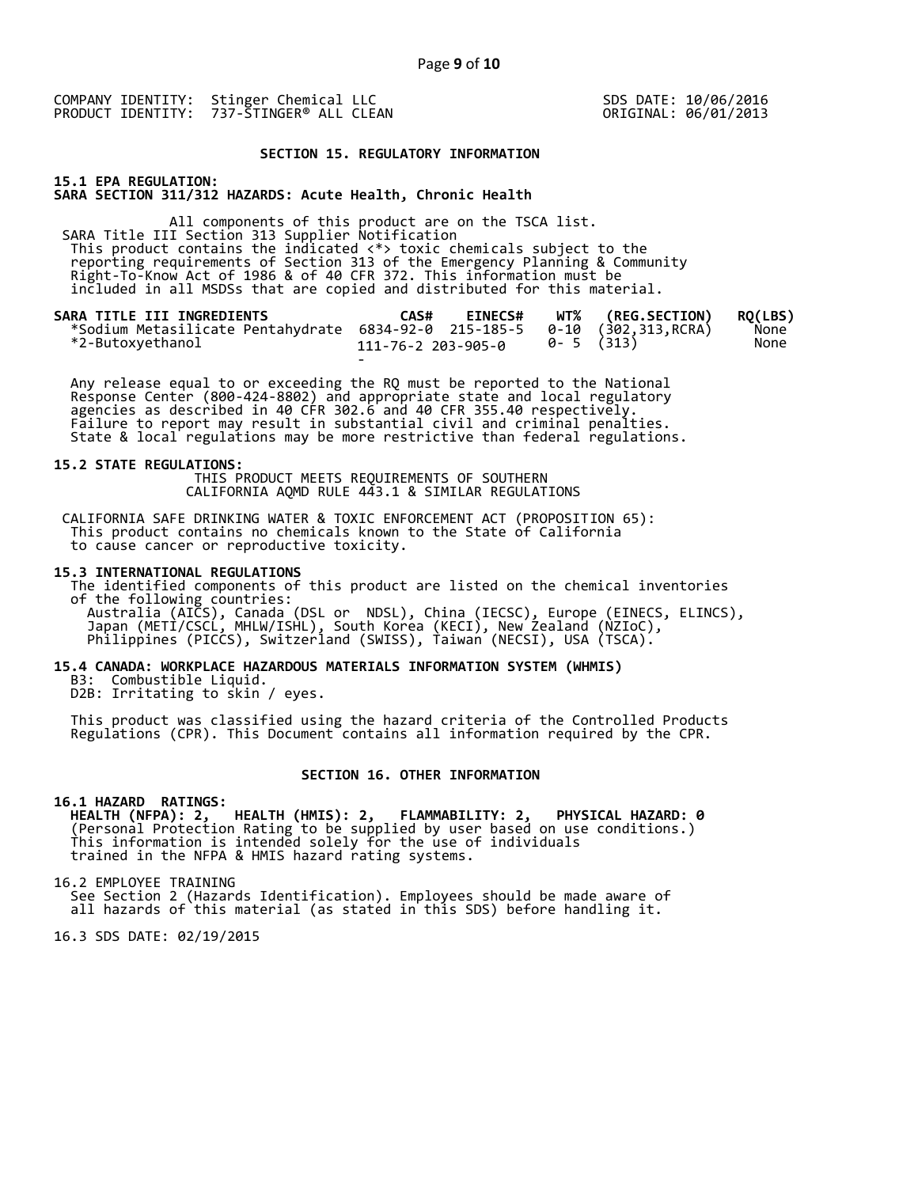SDS DATE: 10/06/2016 ORIGINAL: 06/01/2013

#### **SECTION 15. REGULATORY INFORMATION**

**15.1 EPA REGULATION: SARA SECTION 311/312 HAZARDS: Acute Health, Chronic Health** 

All components of this product are on the TSCA list. SARA Title III Section 313 Supplier Notification This product contains the indicated <\*> toxic chemicals subject to the reporting requirements of Section 313 of the Emergency Planning & Community Right-To-Know Act of 1986 & of 40 CFR 372. This information must be included in all MSDSs that are copied and distributed for this material.

| SARA TITLE III INGREDIENTS<br>*Sodium Metasilicate Pentahydrate 6834-92-0 215-185-5 0-10 (302,313, RCRA) | CAS#               | <b>EINECS#</b> |           | WT% (REG.SECTION) | RO(LBS)<br>None |
|----------------------------------------------------------------------------------------------------------|--------------------|----------------|-----------|-------------------|-----------------|
| *2-Butoxyethanol                                                                                         | 111-76-2 203-905-0 |                | 0-5 (313) |                   | None            |
|                                                                                                          | $\sim$             |                |           |                   |                 |

 Any release equal to or exceeding the RQ must be reported to the National Response Center (800-424-8802) and appropriate state and local regulatory agencies as described in 40 CFR 302.6 and 40 CFR 355.40 respectively. Failure to report may result in substantial civil and criminal penalties. State & local regulations may be more restrictive than federal regulations.

#### **15.2 STATE REGULATIONS:**

 THIS PRODUCT MEETS REQUIREMENTS OF SOUTHERN CALIFORNIA AQMD RULE 443.1 & SIMILAR REGULATIONS

 CALIFORNIA SAFE DRINKING WATER & TOXIC ENFORCEMENT ACT (PROPOSITION 65): This product contains no chemicals known to the State of California to cause cancer or reproductive toxicity.

#### **15.3 INTERNATIONAL REGULATIONS**

 The identified components of this product are listed on the chemical inventories of the following countries: Australia (AICS), Canada (DSL or NDSL), China (IECSC), Europe (EINECS, ELINCS), Japan (METI/CSCL, MHLW/ISHL), South Korea (KECI), New Zealand (NZIoC), Philippines (PICCS), Switzerland (SWISS), Taiwan (NECSI), USA (TSCA).

#### **15.4 CANADA: WORKPLACE HAZARDOUS MATERIALS INFORMATION SYSTEM (WHMIS)**

 B3: Combustible Liquid. D2B: Irritating to skin / eyes.

 This product was classified using the hazard criteria of the Controlled Products Regulations (CPR). This Document contains all information required by the CPR.

#### **SECTION 16. OTHER INFORMATION**

#### **16.1 HAZARD RATINGS:**

 **HEALTH (NFPA): 2, HEALTH (HMIS): 2, FLAMMABILITY: 2, PHYSICAL HAZARD: 0**  (Personal Protection Rating to be supplied by user based on use conditions.) This information is intended solely for the use of individuals trained in the NFPA & HMIS hazard rating systems.

16.2 EMPLOYEE TRAINING

 See Section 2 (Hazards Identification). Employees should be made aware of all hazards of this material (as stated in this SDS) before handling it.

16.3 SDS DATE: 02/19/2015